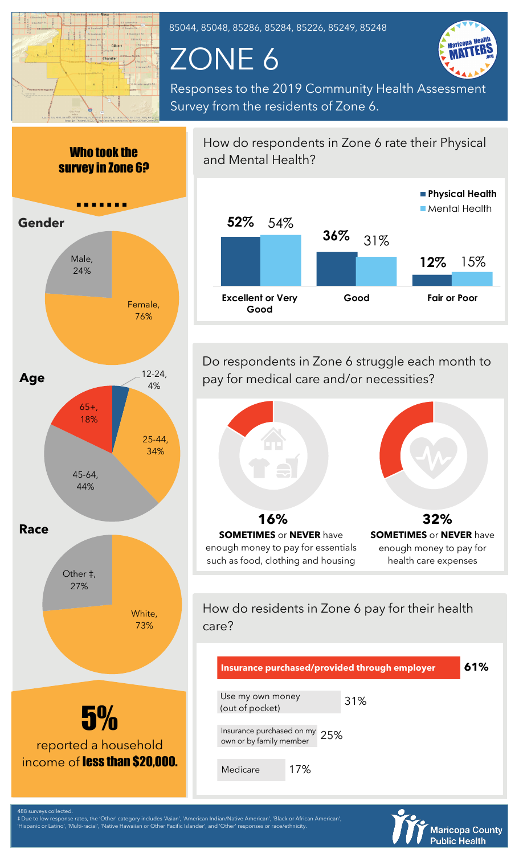

85044, 85048, 85286, 85284, 85226, 85249, 85248

## ZONE 6



Responses to the 2019 Community Health Assessment Survey from the residents of Zone 6.



How do respondents in Zone 6 rate their Physical and Mental Health? **Physical Health**



Do respondents in Zone 6 struggle each month to pay for medical care and/or necessities?



How do residents in Zone 6 pay for their health care?

| Insurance purchased/provided through employer            |     |     | 61% |
|----------------------------------------------------------|-----|-----|-----|
| Use my own money<br>(out of pocket)                      |     | 31% |     |
| Insurance purchased on my 25%<br>own or by family member |     |     |     |
| Medicare                                                 | 17% |     |     |